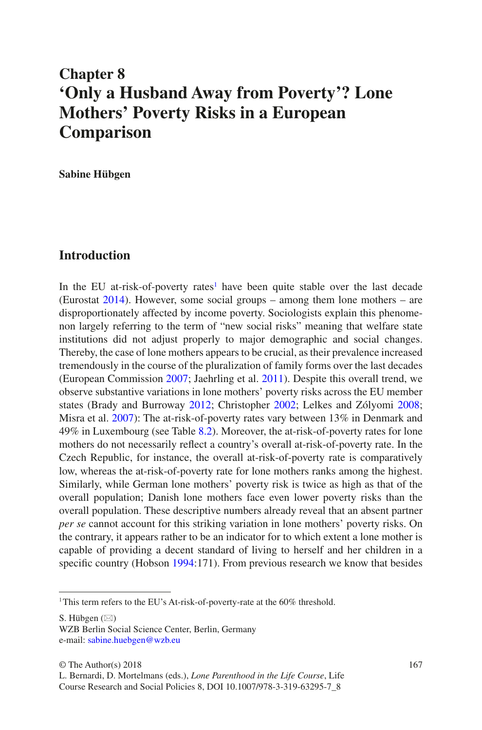# **Chapter 8 'Only a Husband Away from Poverty'? Lone Mothers' Poverty Risks in a European Comparison**

**Sabine Hübgen**

#### **Introduction**

In the EU at-risk-of-poverty rates<sup>1</sup> have been quite stable over the last decade (Eurostat [2014\)](#page-21-0). However, some social groups – among them lone mothers – are disproportionately affected by income poverty. Sociologists explain this phenomenon largely referring to the term of "new social risks" meaning that welfare state institutions did not adjust properly to major demographic and social changes. Thereby, the case of lone mothers appears to be crucial, as their prevalence increased tremendously in the course of the pluralization of family forms over the last decades (European Commission [2007;](#page-21-1) Jaehrling et al. [2011\)](#page-21-2). Despite this overall trend, we observe substantive variations in lone mothers' poverty risks across the EU member states (Brady and Burroway [2012;](#page-20-0) Christopher [2002;](#page-21-3) Lelkes and Zólyomi [2008;](#page-21-4) Misra et al. [2007](#page-21-5)): The at-risk-of-poverty rates vary between 13% in Denmark and 49% in Luxembourg (see Table [8.2\)](#page-8-0). Moreover, the at-risk-of-poverty rates for lone mothers do not necessarily reflect a country's overall at-risk-of-poverty rate. In the Czech Republic, for instance, the overall at-risk-of-poverty rate is comparatively low, whereas the at-risk-of-poverty rate for lone mothers ranks among the highest. Similarly, while German lone mothers' poverty risk is twice as high as that of the overall population; Danish lone mothers face even lower poverty risks than the overall population. These descriptive numbers already reveal that an absent partner *per se* cannot account for this striking variation in lone mothers' poverty risks. On the contrary, it appears rather to be an indicator for to which extent a lone mother is capable of providing a decent standard of living to herself and her children in a specific country (Hobson [1994:](#page-21-6)171). From previous research we know that besides

S. Hübgen  $(\boxtimes)$ 

<span id="page-0-0"></span><sup>&</sup>lt;sup>1</sup>This term refers to the EU's At-risk-of-poverty-rate at the 60% threshold.

WZB Berlin Social Science Center, Berlin, Germany e-mail: [sabine.huebgen@wzb.eu](mailto:sabine.huebgen@wzb.eu)

L. Bernardi, D. Mortelmans (eds.), *Lone Parenthood in the Life Course*, Life Course Research and Social Policies 8, DOI 10.1007/978-3-319-63295-7\_8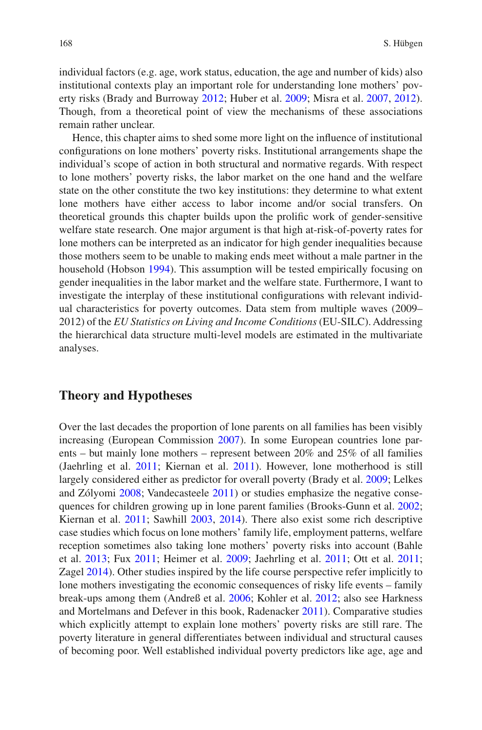individual factors (e.g. age, work status, education, the age and number of kids) also institutional contexts play an important role for understanding lone mothers' poverty risks (Brady and Burroway [2012](#page-20-0); Huber et al. [2009](#page-21-7); Misra et al. [2007](#page-21-5), [2012\)](#page-21-8). Though, from a theoretical point of view the mechanisms of these associations remain rather unclear.

Hence, this chapter aims to shed some more light on the influence of institutional configurations on lone mothers' poverty risks. Institutional arrangements shape the individual's scope of action in both structural and normative regards. With respect to lone mothers' poverty risks, the labor market on the one hand and the welfare state on the other constitute the two key institutions: they determine to what extent lone mothers have either access to labor income and/or social transfers. On theoretical grounds this chapter builds upon the prolific work of gender-sensitive welfare state research. One major argument is that high at-risk-of-poverty rates for lone mothers can be interpreted as an indicator for high gender inequalities because those mothers seem to be unable to making ends meet without a male partner in the household (Hobson [1994](#page-21-6)). This assumption will be tested empirically focusing on gender inequalities in the labor market and the welfare state. Furthermore, I want to investigate the interplay of these institutional configurations with relevant individual characteristics for poverty outcomes. Data stem from multiple waves (2009– 2012) of the *EU Statistics on Living and Income Conditions* (EU-SILC). Addressing the hierarchical data structure multi-level models are estimated in the multivariate analyses.

#### **Theory and Hypotheses**

Over the last decades the proportion of lone parents on all families has been visibly increasing (European Commission [2007\)](#page-21-1). In some European countries lone parents – but mainly lone mothers – represent between 20% and 25% of all families (Jaehrling et al. [2011;](#page-21-2) Kiernan et al. [2011\)](#page-21-9). However, lone motherhood is still largely considered either as predictor for overall poverty (Brady et al. [2009;](#page-20-1) Lelkes and Zólyomi [2008;](#page-21-4) Vandecasteele [2011\)](#page-22-0) or studies emphasize the negative consequences for children growing up in lone parent families (Brooks-Gunn et al. [2002;](#page-20-2) Kiernan et al. [2011;](#page-21-9) Sawhill [2003](#page-22-1), [2014](#page-22-2)). There also exist some rich descriptive case studies which focus on lone mothers' family life, employment patterns, welfare reception sometimes also taking lone mothers' poverty risks into account (Bahle et al. [2013;](#page-20-3) Fux [2011;](#page-21-10) Heimer et al. [2009](#page-21-11); Jaehrling et al. [2011](#page-21-2); Ott et al. [2011;](#page-21-12) Zagel [2014\)](#page-22-3). Other studies inspired by the life course perspective refer implicitly to lone mothers investigating the economic consequences of risky life events – family break-ups among them (Andreß et al. [2006;](#page-20-4) Kohler et al. [2012;](#page-21-13) also see Harkness and Mortelmans and Defever in this book, Radenacker [2011](#page-22-4)). Comparative studies which explicitly attempt to explain lone mothers' poverty risks are still rare. The poverty literature in general differentiates between individual and structural causes of becoming poor. Well established individual poverty predictors like age, age and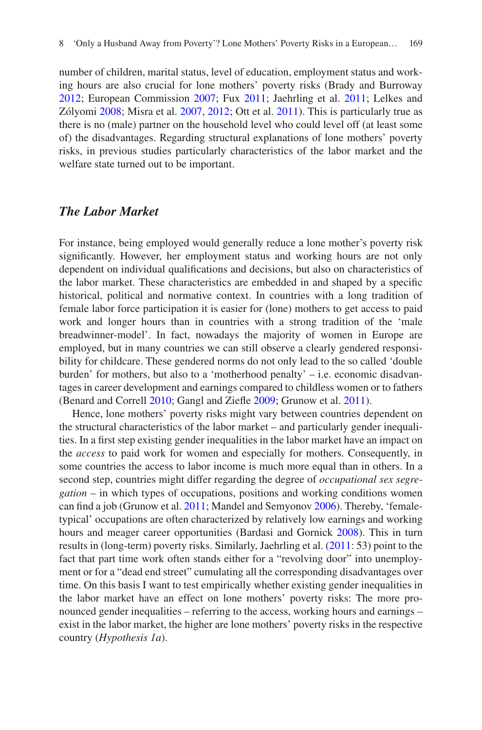number of children, marital status, level of education, employment status and working hours are also crucial for lone mothers' poverty risks (Brady and Burroway [2012;](#page-20-0) European Commission [2007;](#page-21-1) Fux [2011;](#page-21-10) Jaehrling et al. [2011](#page-21-2); Lelkes and Zólyomi [2008;](#page-21-4) Misra et al. [2007](#page-21-5), [2012](#page-21-8); Ott et al. [2011](#page-21-12)). This is particularly true as there is no (male) partner on the household level who could level off (at least some of) the disadvantages. Regarding structural explanations of lone mothers' poverty risks, in previous studies particularly characteristics of the labor market and the welfare state turned out to be important.

#### *The Labor Market*

For instance, being employed would generally reduce a lone mother's poverty risk significantly. However, her employment status and working hours are not only dependent on individual qualifications and decisions, but also on characteristics of the labor market. These characteristics are embedded in and shaped by a specific historical, political and normative context. In countries with a long tradition of female labor force participation it is easier for (lone) mothers to get access to paid work and longer hours than in countries with a strong tradition of the 'male breadwinner-model'. In fact, nowadays the majority of women in Europe are employed, but in many countries we can still observe a clearly gendered responsibility for childcare. These gendered norms do not only lead to the so called 'double burden' for mothers, but also to a 'motherhood penalty' – i.e. economic disadvantages in career development and earnings compared to childless women or to fathers (Benard and Correll [2010](#page-20-5); Gangl and Ziefle [2009](#page-21-14); Grunow et al. [2011\)](#page-21-15).

Hence, lone mothers' poverty risks might vary between countries dependent on the structural characteristics of the labor market – and particularly gender inequalities. In a first step existing gender inequalities in the labor market have an impact on the *access* to paid work for women and especially for mothers. Consequently, in some countries the access to labor income is much more equal than in others. In a second step, countries might differ regarding the degree of *occupational sex segregation* – in which types of occupations, positions and working conditions women can find a job (Grunow et al. [2011;](#page-21-15) Mandel and Semyonov [2006\)](#page-21-16). Thereby, 'femaletypical' occupations are often characterized by relatively low earnings and working hours and meager career opportunities (Bardasi and Gornick [2008](#page-20-6)). This in turn results in (long-term) poverty risks. Similarly, Jaehrling et al. [\(2011](#page-21-2): 53) point to the fact that part time work often stands either for a "revolving door" into unemployment or for a "dead end street" cumulating all the corresponding disadvantages over time. On this basis I want to test empirically whether existing gender inequalities in the labor market have an effect on lone mothers' poverty risks: The more pronounced gender inequalities – referring to the access, working hours and earnings – exist in the labor market, the higher are lone mothers' poverty risks in the respective country (*Hypothesis 1a*).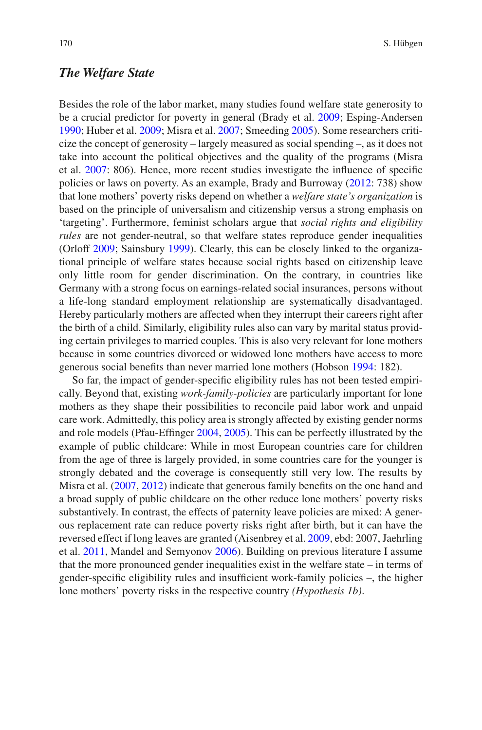#### *The Welfare State*

Besides the role of the labor market, many studies found welfare state generosity to be a crucial predictor for poverty in general (Brady et al. [2009](#page-20-1); Esping-Andersen [1990;](#page-21-17) Huber et al. [2009](#page-21-7); Misra et al. [2007;](#page-21-5) Smeeding [2005](#page-22-5)). Some researchers criticize the concept of generosity – largely measured as social spending –, as it does not take into account the political objectives and the quality of the programs (Misra et al. [2007](#page-21-5): 806). Hence, more recent studies investigate the influence of specific policies or laws on poverty. As an example, Brady and Burroway ([2012:](#page-20-0) 738) show that lone mothers' poverty risks depend on whether a *welfare state's organization* is based on the principle of universalism and citizenship versus a strong emphasis on 'targeting'. Furthermore, feminist scholars argue that *social rights and eligibility rules* are not gender-neutral, so that welfare states reproduce gender inequalities (Orloff [2009;](#page-21-18) Sainsbury [1999](#page-22-6)). Clearly, this can be closely linked to the organizational principle of welfare states because social rights based on citizenship leave only little room for gender discrimination. On the contrary, in countries like Germany with a strong focus on earnings-related social insurances, persons without a life-long standard employment relationship are systematically disadvantaged. Hereby particularly mothers are affected when they interrupt their careers right after the birth of a child. Similarly, eligibility rules also can vary by marital status providing certain privileges to married couples. This is also very relevant for lone mothers because in some countries divorced or widowed lone mothers have access to more generous social benefits than never married lone mothers (Hobson [1994:](#page-21-6) 182).

So far, the impact of gender-specific eligibility rules has not been tested empirically. Beyond that, existing *work-family-policies* are particularly important for lone mothers as they shape their possibilities to reconcile paid labor work and unpaid care work. Admittedly, this policy area is strongly affected by existing gender norms and role models (Pfau-Effinger [2004,](#page-22-7) [2005](#page-22-8)). This can be perfectly illustrated by the example of public childcare: While in most European countries care for children from the age of three is largely provided, in some countries care for the younger is strongly debated and the coverage is consequently still very low. The results by Misra et al. [\(2007](#page-21-5), [2012](#page-21-8)) indicate that generous family benefits on the one hand and a broad supply of public childcare on the other reduce lone mothers' poverty risks substantively. In contrast, the effects of paternity leave policies are mixed: A generous replacement rate can reduce poverty risks right after birth, but it can have the reversed effect if long leaves are granted (Aisenbrey et al. [2009,](#page-20-7) ebd: 2007, Jaehrling et al. [2011,](#page-21-2) Mandel and Semyonov [2006](#page-21-16)). Building on previous literature I assume that the more pronounced gender inequalities exist in the welfare state – in terms of gender-specific eligibility rules and insufficient work-family policies –, the higher lone mothers' poverty risks in the respective country *(Hypothesis 1b)*.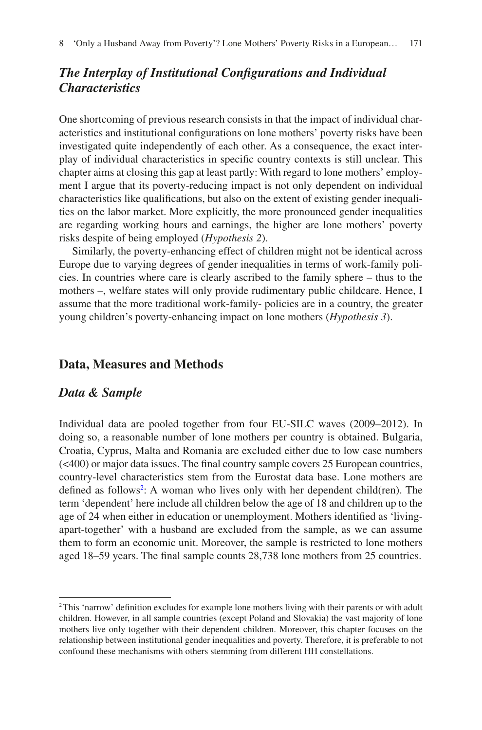# *The Interplay of Institutional Configurations and Individual Characteristics*

One shortcoming of previous research consists in that the impact of individual characteristics and institutional configurations on lone mothers' poverty risks have been investigated quite independently of each other. As a consequence, the exact interplay of individual characteristics in specific country contexts is still unclear. This chapter aims at closing this gap at least partly: With regard to lone mothers' employment I argue that its poverty-reducing impact is not only dependent on individual characteristics like qualifications, but also on the extent of existing gender inequalities on the labor market. More explicitly, the more pronounced gender inequalities are regarding working hours and earnings, the higher are lone mothers' poverty risks despite of being employed (*Hypothesis 2*).

Similarly, the poverty-enhancing effect of children might not be identical across Europe due to varying degrees of gender inequalities in terms of work-family policies. In countries where care is clearly ascribed to the family sphere – thus to the mothers –, welfare states will only provide rudimentary public childcare. Hence, I assume that the more traditional work-family- policies are in a country, the greater young children's poverty-enhancing impact on lone mothers (*Hypothesis 3*).

# **Data, Measures and Methods**

#### *Data & Sample*

Individual data are pooled together from four EU-SILC waves (2009–2012). In doing so, a reasonable number of lone mothers per country is obtained. Bulgaria, Croatia, Cyprus, Malta and Romania are excluded either due to low case numbers (<400) or major data issues. The final country sample covers 25 European countries, country-level characteristics stem from the Eurostat data base. Lone mothers are defined as follows<sup>2</sup>: A woman who lives only with her dependent child(ren). The term 'dependent' here include all children below the age of 18 and children up to the age of 24 when either in education or unemployment. Mothers identified as 'livingapart-together' with a husband are excluded from the sample, as we can assume them to form an economic unit. Moreover, the sample is restricted to lone mothers aged 18–59 years. The final sample counts 28,738 lone mothers from 25 countries.

<span id="page-4-0"></span><sup>2</sup>This 'narrow' definition excludes for example lone mothers living with their parents or with adult children. However, in all sample countries (except Poland and Slovakia) the vast majority of lone mothers live only together with their dependent children. Moreover, this chapter focuses on the relationship between institutional gender inequalities and poverty. Therefore, it is preferable to not confound these mechanisms with others stemming from different HH constellations.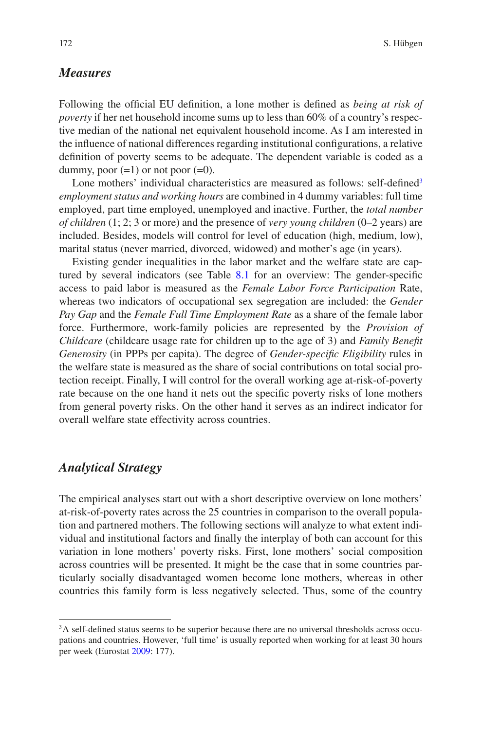# *Measures*

Following the official EU definition, a lone mother is defined as *being at risk of poverty* if her net household income sums up to less than 60% of a country's respective median of the national net equivalent household income. As I am interested in the influence of national differences regarding institutional configurations, a relative definition of poverty seems to be adequate. The dependent variable is coded as a dummy, poor  $(=1)$  or not poor  $(=0)$ .

Lone mothers' individual characteristics are measured as follows: self-defined<sup>[3](#page-5-0)</sup> *employment status and working hours* are combined in 4 dummy variables: full time employed, part time employed, unemployed and inactive. Further, the *total number of children* (1; 2; 3 or more) and the presence of *very young children* (0–2 years) are included. Besides, models will control for level of education (high, medium, low), marital status (never married, divorced, widowed) and mother's age (in years).

Existing gender inequalities in the labor market and the welfare state are captured by several indicators (see Table [8.1](#page-6-0) for an overview: The gender-specific access to paid labor is measured as the *Female Labor Force Participation* Rate, whereas two indicators of occupational sex segregation are included: the *Gender Pay Gap* and the *Female Full Time Employment Rate* as a share of the female labor force. Furthermore, work-family policies are represented by the *Provision of Childcare* (childcare usage rate for children up to the age of 3) and *Family Benefit Generosity* (in PPPs per capita). The degree of *Gender-specific Eligibility* rules in the welfare state is measured as the share of social contributions on total social protection receipt. Finally, I will control for the overall working age at-risk-of-poverty rate because on the one hand it nets out the specific poverty risks of lone mothers from general poverty risks. On the other hand it serves as an indirect indicator for overall welfare state effectivity across countries.

#### *Analytical Strategy*

The empirical analyses start out with a short descriptive overview on lone mothers' at-risk-of-poverty rates across the 25 countries in comparison to the overall population and partnered mothers. The following sections will analyze to what extent individual and institutional factors and finally the interplay of both can account for this variation in lone mothers' poverty risks. First, lone mothers' social composition across countries will be presented. It might be the case that in some countries particularly socially disadvantaged women become lone mothers, whereas in other countries this family form is less negatively selected. Thus, some of the country

<span id="page-5-0"></span><sup>&</sup>lt;sup>3</sup>A self-defined status seems to be superior because there are no universal thresholds across occupations and countries. However, 'full time' is usually reported when working for at least 30 hours per week (Eurostat [2009](#page-21-19): 177).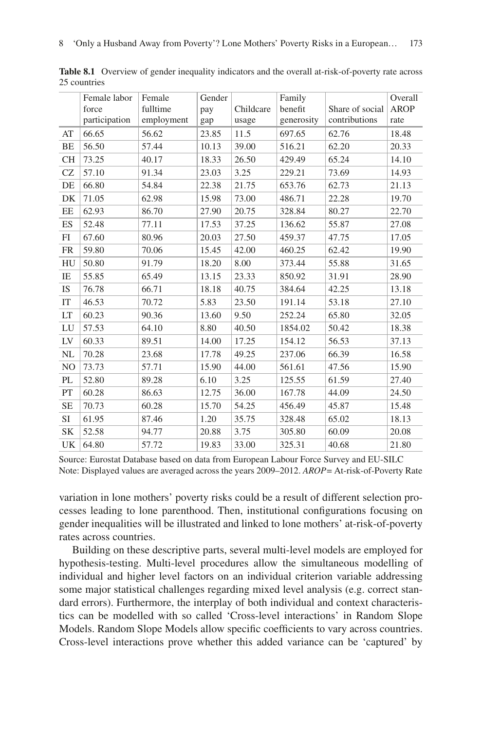|                | Female labor<br>force<br>participation | Female<br>fulltime<br>employment | Gender<br>pay<br>gap | Childcare<br>usage | Family<br>benefit<br>generosity | Share of social<br>contributions | Overall<br><b>AROP</b><br>rate |
|----------------|----------------------------------------|----------------------------------|----------------------|--------------------|---------------------------------|----------------------------------|--------------------------------|
| AT             | 66.65                                  | 56.62                            | 23.85                | 11.5               | 697.65                          | 62.76                            | 18.48                          |
| BE             | 56.50                                  | 57.44                            | 10.13                | 39.00              | 516.21                          | 62.20                            | 20.33                          |
| <b>CH</b>      | 73.25                                  | 40.17                            | 18.33                | 26.50              | 429.49                          | 65.24                            | 14.10                          |
| CZ             | 57.10                                  | 91.34                            | 23.03                | 3.25               | 229.21                          | 73.69                            | 14.93                          |
| DE             | 66.80                                  | 54.84                            | 22.38                | 21.75              | 653.76                          | 62.73                            | 21.13                          |
| DK             | 71.05                                  | 62.98                            | 15.98                | 73.00              | 486.71                          | 22.28                            | 19.70                          |
| EE             | 62.93                                  | 86.70                            | 27.90                | 20.75              | 328.84                          | 80.27                            | 22.70                          |
| ES             | 52.48                                  | 77.11                            | 17.53                | 37.25              | 136.62                          | 55.87                            | 27.08                          |
| FI             | 67.60                                  | 80.96                            | 20.03                | 27.50              | 459.37                          | 47.75                            | 17.05                          |
| <b>FR</b>      | 59.80                                  | 70.06                            | 15.45                | 42.00              | 460.25                          | 62.42                            | 19.90                          |
| HU             | 50.80                                  | 91.79                            | 18.20                | 8.00               | 373.44                          | 55.88                            | 31.65                          |
| IE             | 55.85                                  | 65.49                            | 13.15                | 23.33              | 850.92                          | 31.91                            | 28.90                          |
| <b>IS</b>      | 76.78                                  | 66.71                            | 18.18                | 40.75              | 384.64                          | 42.25                            | 13.18                          |
| IT             | 46.53                                  | 70.72                            | 5.83                 | 23.50              | 191.14                          | 53.18                            | 27.10                          |
| <b>LT</b>      | 60.23                                  | 90.36                            | 13.60                | 9.50               | 252.24                          | 65.80                            | 32.05                          |
| LU             | 57.53                                  | 64.10                            | 8.80                 | 40.50              | 1854.02                         | 50.42                            | 18.38                          |
| LV             | 60.33                                  | 89.51                            | 14.00                | 17.25              | 154.12                          | 56.53                            | 37.13                          |
| NL             | 70.28                                  | 23.68                            | 17.78                | 49.25              | 237.06                          | 66.39                            | 16.58                          |
| N <sub>O</sub> | 73.73                                  | 57.71                            | 15.90                | 44.00              | 561.61                          | 47.56                            | 15.90                          |
| PL             | 52.80                                  | 89.28                            | 6.10                 | 3.25               | 125.55                          | 61.59                            | 27.40                          |
| PT             | 60.28                                  | 86.63                            | 12.75                | 36.00              | 167.78                          | 44.09                            | 24.50                          |
| <b>SE</b>      | 70.73                                  | 60.28                            | 15.70                | 54.25              | 456.49                          | 45.87                            | 15.48                          |
| <b>SI</b>      | 61.95                                  | 87.46                            | 1.20                 | 35.75              | 328.48                          | 65.02                            | 18.13                          |
| SK             | 52.58                                  | 94.77                            | 20.88                | 3.75               | 305.80                          | 60.09                            | 20.08                          |
| UK             | 64.80                                  | 57.72                            | 19.83                | 33.00              | 325.31                          | 40.68                            | 21.80                          |

<span id="page-6-0"></span>**Table 8.1** Overview of gender inequality indicators and the overall at-risk-of-poverty rate across 25 countries

Source: Eurostat Database based on data from European Labour Force Survey and EU-SILC Note: Displayed values are averaged across the years 2009–2012. *AROP=* At-risk-of-Poverty Rate

variation in lone mothers' poverty risks could be a result of different selection processes leading to lone parenthood. Then, institutional configurations focusing on gender inequalities will be illustrated and linked to lone mothers' at-risk-of-poverty rates across countries.

Building on these descriptive parts, several multi-level models are employed for hypothesis-testing. Multi-level procedures allow the simultaneous modelling of individual and higher level factors on an individual criterion variable addressing some major statistical challenges regarding mixed level analysis (e.g. correct standard errors). Furthermore, the interplay of both individual and context characteristics can be modelled with so called 'Cross-level interactions' in Random Slope Models. Random Slope Models allow specific coefficients to vary across countries. Cross-level interactions prove whether this added variance can be 'captured' by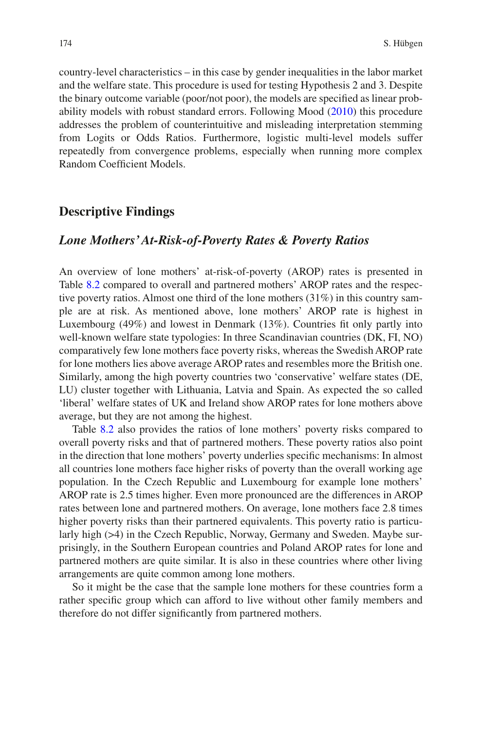country-level characteristics – in this case by gender inequalities in the labor market and the welfare state. This procedure is used for testing Hypothesis 2 and 3. Despite the binary outcome variable (poor/not poor), the models are specified as linear probability models with robust standard errors. Following Mood ([2010\)](#page-21-20) this procedure addresses the problem of counterintuitive and misleading interpretation stemming from Logits or Odds Ratios. Furthermore, logistic multi-level models suffer repeatedly from convergence problems, especially when running more complex Random Coefficient Models.

#### **Descriptive Findings**

#### *Lone Mothers' At-Risk-of-Poverty Rates & Poverty Ratios*

An overview of lone mothers' at-risk-of-poverty (AROP) rates is presented in Table [8.2](#page-8-0) compared to overall and partnered mothers' AROP rates and the respective poverty ratios. Almost one third of the lone mothers  $(31\%)$  in this country sample are at risk. As mentioned above, lone mothers' AROP rate is highest in Luxembourg (49%) and lowest in Denmark (13%). Countries fit only partly into well-known welfare state typologies: In three Scandinavian countries (DK, FI, NO) comparatively few lone mothers face poverty risks, whereas the Swedish AROP rate for lone mothers lies above average AROP rates and resembles more the British one. Similarly, among the high poverty countries two 'conservative' welfare states (DE, LU) cluster together with Lithuania, Latvia and Spain. As expected the so called 'liberal' welfare states of UK and Ireland show AROP rates for lone mothers above average, but they are not among the highest.

Table [8.2](#page-8-0) also provides the ratios of lone mothers' poverty risks compared to overall poverty risks and that of partnered mothers. These poverty ratios also point in the direction that lone mothers' poverty underlies specific mechanisms: In almost all countries lone mothers face higher risks of poverty than the overall working age population. In the Czech Republic and Luxembourg for example lone mothers' AROP rate is 2.5 times higher. Even more pronounced are the differences in AROP rates between lone and partnered mothers. On average, lone mothers face 2.8 times higher poverty risks than their partnered equivalents. This poverty ratio is particularly high (>4) in the Czech Republic, Norway, Germany and Sweden. Maybe surprisingly, in the Southern European countries and Poland AROP rates for lone and partnered mothers are quite similar. It is also in these countries where other living arrangements are quite common among lone mothers.

So it might be the case that the sample lone mothers for these countries form a rather specific group which can afford to live without other family members and therefore do not differ significantly from partnered mothers.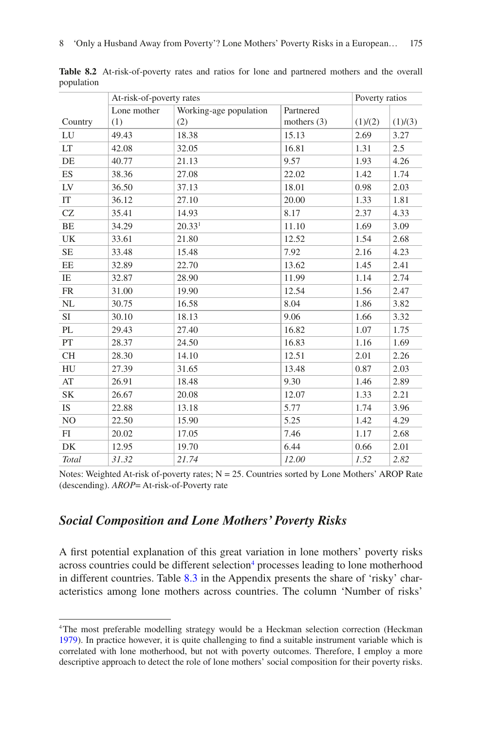|           | At-risk-of-poverty rates |                        |               | Poverty ratios |         |
|-----------|--------------------------|------------------------|---------------|----------------|---------|
|           | Lone mother              | Working-age population | Partnered     |                |         |
| Country   | (1)                      | (2)                    | mothers $(3)$ | (1)/(2)        | (1)/(3) |
| LU        | 49.43                    | 18.38                  | 15.13         | 2.69           | 3.27    |
| <b>LT</b> | 42.08                    | 32.05                  | 16.81         | 1.31           | 2.5     |
| DE        | 40.77                    | 21.13                  | 9.57          | 1.93           | 4.26    |
| ES        | 38.36                    | 27.08                  | 22.02         | 1.42           | 1.74    |
| LV        | 36.50                    | 37.13                  | 18.01         | 0.98           | 2.03    |
| IT        | 36.12                    | 27.10                  | 20.00         | 1.33           | 1.81    |
| <b>CZ</b> | 35.41                    | 14.93                  | 8.17          | 2.37           | 4.33    |
| BE        | 34.29                    | 20.33 <sup>1</sup>     | 11.10         | 1.69           | 3.09    |
| <b>UK</b> | 33.61                    | 21.80                  | 12.52         | 1.54           | 2.68    |
| <b>SE</b> | 33.48                    | 15.48                  | 7.92          | 2.16           | 4.23    |
| EE        | 32.89                    | 22.70                  | 13.62         | 1.45           | 2.41    |
| IE        | 32.87                    | 28.90                  | 11.99         | 1.14           | 2.74    |
| FR        | 31.00                    | 19.90                  | 12.54         | 1.56           | 2.47    |
| NL        | 30.75                    | 16.58                  | 8.04          | 1.86           | 3.82    |
| SI        | 30.10                    | 18.13                  | 9.06          | 1.66           | 3.32    |
| PL        | 29.43                    | 27.40                  | 16.82         | 1.07           | 1.75    |
| PT        | 28.37                    | 24.50                  | 16.83         | 1.16           | 1.69    |
| <b>CH</b> | 28.30                    | 14.10                  | 12.51         | 2.01           | 2.26    |
| HU        | 27.39                    | 31.65                  | 13.48         | 0.87           | 2.03    |
| AT        | 26.91                    | 18.48                  | 9.30          | 1.46           | 2.89    |
| SK        | 26.67                    | 20.08                  | 12.07         | 1.33           | 2.21    |
| <b>IS</b> | 22.88                    | 13.18                  | 5.77          | 1.74           | 3.96    |
| NO.       | 22.50                    | 15.90                  | 5.25          | 1.42           | 4.29    |
| FI        | 20.02                    | 17.05                  | 7.46          | 1.17           | 2.68    |
| DK        | 12.95                    | 19.70                  | 6.44          | 0.66           | 2.01    |
| Total     | 31.32                    | 21.74                  | 12.00         | 1.52           | 2.82    |

<span id="page-8-0"></span>**Table 8.2** At-risk-of-poverty rates and ratios for lone and partnered mothers and the overall population

Notes: Weighted At-risk of-poverty rates;  $N = 25$ . Countries sorted by Lone Mothers' AROP Rate (descending). *AROP*= At-risk-of-Poverty rate

# *Social Composition and Lone Mothers' Poverty Risks*

A first potential explanation of this great variation in lone mothers' poverty risks across countries could be different selection<sup>4</sup> processes leading to lone motherhood in different countries. Table [8.3](#page-9-0) in the Appendix presents the share of 'risky' characteristics among lone mothers across countries. The column 'Number of risks'

<span id="page-8-1"></span><sup>4</sup>The most preferable modelling strategy would be a Heckman selection correction (Heckman [1979\)](#page-21-21). In practice however, it is quite challenging to find a suitable instrument variable which is correlated with lone motherhood, but not with poverty outcomes. Therefore, I employ a more descriptive approach to detect the role of lone mothers' social composition for their poverty risks.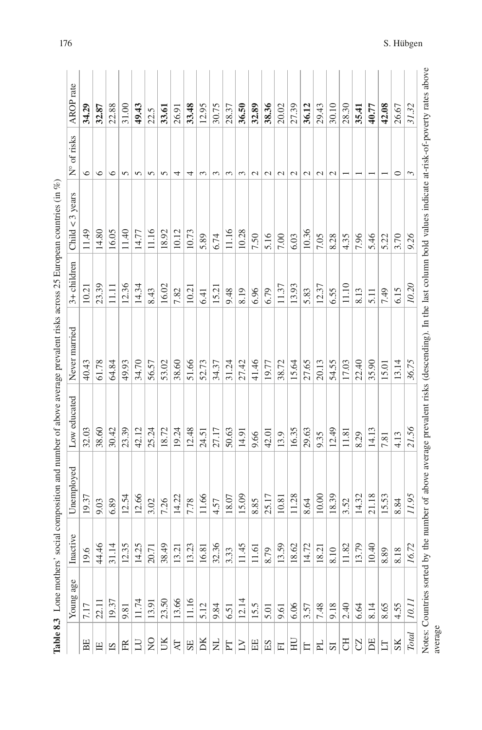|                         | <b>Lable 8.3</b> Lone mothers<br>age<br>Young | Inactive                | Unemployed | Low educated | social composition and number or above average prevalent risks across $25$ European countries (in $\%$ )<br>Never married                                   | 3+ children      | $<$ 3 years<br>Child - | N° of risks    | AROP rate |
|-------------------------|-----------------------------------------------|-------------------------|------------|--------------|-------------------------------------------------------------------------------------------------------------------------------------------------------------|------------------|------------------------|----------------|-----------|
| BE                      | 7.17                                          | $\tilde{9}$<br>$\Xi$    | 19.37      | 32.03        | 40.43                                                                                                                                                       | 10.21            | 11.49                  | $\circ$        | 34.29     |
| $\mathbb{H}%$           | 22.11                                         | 1.46<br>\$              | 9.03       | 38.60        | 61.78                                                                                                                                                       | 23.39            | 14.80                  | $\circ$        | 32.87     |
| $^{1S}$                 | 19.37                                         | 14<br>$\overline{31}$   | 6.89       | 30.42        | 64.84                                                                                                                                                       | 11.11            | 16.05                  | $\circ$        | 22.88     |
| EŘ                      | 9.81                                          | 12.35                   | 12.54      | 23.39        | 49.93                                                                                                                                                       | 12.36            | 11.40                  | 5              | 31.00     |
| 5                       | 11.74                                         | 1.25<br>$\Xi$           | 12.66      | 42.12        | 34.70                                                                                                                                                       | 14.34            | 14.77                  | 5              | 49.43     |
| $\tilde{z}$             | 13.91                                         | 0.71<br>$\approx$       | 3.02       | 25.24        | 56.57                                                                                                                                                       | 8.43             | 11.16                  | 5              | 22.5      |
| UК                      | 23.50                                         | 38.49                   | 7.26       | 18.72        | 53.02                                                                                                                                                       | 16.02            | 18.92                  | 5              | 33.61     |
| R                       | 13.66                                         | $\overline{c}$<br>$\Xi$ | 14.22      | 19.24        | 38.60                                                                                                                                                       | 7.82             | 10.12                  | 4              | 26.91     |
| $\operatorname{SE}$     | 11.16                                         | 3.23<br>$\Xi$           | 7.78       | 12.48        | 51.66                                                                                                                                                       | 10.21            | 10.73                  | 4              | 33.48     |
| DK                      | 5.12                                          | 16.81                   | 11.66      | 24.51        | 52.73                                                                                                                                                       | 6.41             | 5.89                   | 3              | 12.95     |
| ž,                      | 9.84                                          | 32.36                   | 4.57       | 27.17        | 34.37                                                                                                                                                       | 15.21            | 6.74                   | 3              | 30.75     |
| E                       | 6.51                                          | 33<br>3.                | 18.07      | 50.63        | 31.24                                                                                                                                                       | 9.48             | 11.16                  | 3              | 28.37     |
| $\geq$                  | 12.14                                         | 1.45                    | 15.09      | 14.91        | 27.42                                                                                                                                                       | 8.19             | 10.28                  | $\mathfrak{c}$ | 36.50     |
| EE                      | 15.5                                          | 1.61                    | 8.85       | 9.66         | 41.46                                                                                                                                                       | 6.96             | 7.50                   | $\mathcal{L}$  | 32.89     |
| $\operatorname{ES}$     | 5.01                                          | .79<br>∞                | 25.17      | 42.01        | 19.77                                                                                                                                                       | 6.79             | 5.16                   | $\mathcal{L}$  | 38.36     |
| $\mathbb H$             | 9.61                                          | 3.59                    | 10.81      | 13.9         | 38.72                                                                                                                                                       | 11.37            | $7.00\,$               | $\mathcal{L}$  | 20.02     |
| E                       | 6.06                                          | 18.62                   | 11.28      | 16.35        | 15.64                                                                                                                                                       | 13.93            | 6.03                   | $\sim$         | 27.39     |
| E                       | 3.57                                          | 14.72                   | 8.64       | 29.63        | 27.65                                                                                                                                                       | 5.83             | 10.36                  | $\mathcal{L}$  | 36.12     |
| 리                       | 7.48                                          | 18.21                   | 10.00      | 9.35         | 20.13                                                                                                                                                       | 12.37            | 7.05                   | $\mathcal{L}$  | 29.43     |
| $\overline{\mathbf{s}}$ | 9.18                                          | $\overline{10}$<br>∞ं   | 18.39      | 12.49        | 54.55                                                                                                                                                       | 6.55             | 8.28                   | $\mathcal{L}$  | 30.10     |
| FO                      | 2.40                                          | $1.82\,$                | 3.52       | 11.81        | 17.03                                                                                                                                                       | 11.10            | 4.35                   |                | 28.30     |
| B                       | 6.64                                          | 13.79                   | 14.32      | 8.29         | 22.40                                                                                                                                                       | 8.13             | 7.96                   |                | 35.41     |
| E                       | 8.14                                          | 0.40                    | 21.18      | 14.13        | 35.90                                                                                                                                                       | $\overline{5}$ . | 5.46                   |                | 40.77     |
| $\Box$                  | 8.65                                          | 89<br>∞ं                | 15.53      | 7.81         | 15.01                                                                                                                                                       | 7.49             | 5.22                   |                | 42.08     |
| SK                      | 4.55                                          | 8.18                    | 8.84       | 4.13         | 13.14                                                                                                                                                       | 6.15             | 3.70                   | 0              | 26.67     |
| <b>Total</b>            | 10.11                                         | 16.72                   | 11.95      | 21.56        | 36.75                                                                                                                                                       | 10.20            | 9.26                   | $\mathfrak{D}$ | 31.32     |
|                         |                                               |                         |            |              | Notes: Countries sorted by the number of above average prevalent risks (descending). In the last column bold values indicate at-risk-of-poverty rates above |                  |                        |                |           |

tries (in  $\mathcal{O}_0$ ) **Table 8.3** Lone mothers' social composition and number of above average prevalent risks across 25 European countries (in %)  $0.20$ valent risks  $\mathbf{r} \cdot \mathbf{r}$ j and nu  $\ddot{\mathbf{c}}$ ۱, Table 8.3 I one mothers' social

176

<span id="page-9-0"></span>average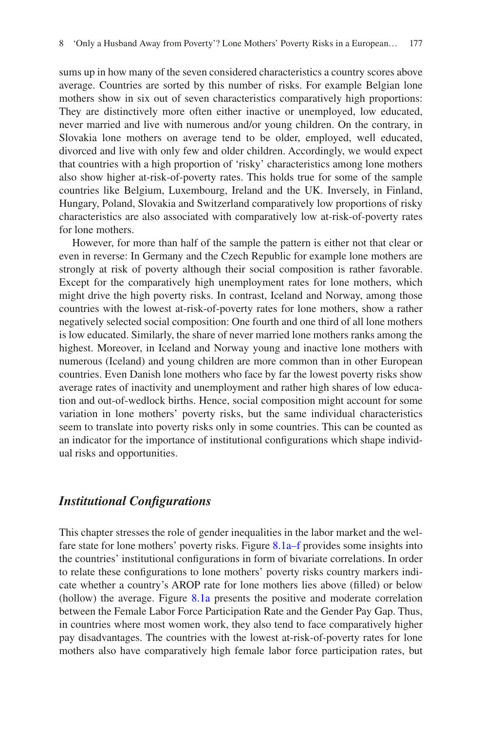sums up in how many of the seven considered characteristics a country scores above average. Countries are sorted by this number of risks. For example Belgian lone mothers show in six out of seven characteristics comparatively high proportions: They are distinctively more often either inactive or unemployed, low educated, never married and live with numerous and/or young children. On the contrary, in Slovakia lone mothers on average tend to be older, employed, well educated, divorced and live with only few and older children. Accordingly, we would expect that countries with a high proportion of 'risky' characteristics among lone mothers also show higher at-risk-of-poverty rates. This holds true for some of the sample countries like Belgium, Luxembourg, Ireland and the UK. Inversely, in Finland, Hungary, Poland, Slovakia and Switzerland comparatively low proportions of risky characteristics are also associated with comparatively low at-risk-of-poverty rates for lone mothers.

However, for more than half of the sample the pattern is either not that clear or even in reverse: In Germany and the Czech Republic for example lone mothers are strongly at risk of poverty although their social composition is rather favorable. Except for the comparatively high unemployment rates for lone mothers, which might drive the high poverty risks. In contrast, Iceland and Norway, among those countries with the lowest at-risk-of-poverty rates for lone mothers, show a rather negatively selected social composition: One fourth and one third of all lone mothers is low educated. Similarly, the share of never married lone mothers ranks among the highest. Moreover, in Iceland and Norway young and inactive lone mothers with numerous (Iceland) and young children are more common than in other European countries. Even Danish lone mothers who face by far the lowest poverty risks show average rates of inactivity and unemployment and rather high shares of low education and out-of-wedlock births. Hence, social composition might account for some variation in lone mothers' poverty risks, but the same individual characteristics seem to translate into poverty risks only in some countries. This can be counted as an indicator for the importance of institutional configurations which shape individual risks and opportunities.

## *Institutional Configurations*

This chapter stresses the role of gender inequalities in the labor market and the welfare state for lone mothers' poverty risks. Figure [8.1a–f](#page-11-0) provides some insights into the countries' institutional configurations in form of bivariate correlations. In order to relate these configurations to lone mothers' poverty risks country markers indicate whether a country's AROP rate for lone mothers lies above (filled) or below (hollow) the average. Figure [8.1a](#page-11-0) presents the positive and moderate correlation between the Female Labor Force Participation Rate and the Gender Pay Gap. Thus, in countries where most women work, they also tend to face comparatively higher pay disadvantages. The countries with the lowest at-risk-of-poverty rates for lone mothers also have comparatively high female labor force participation rates, but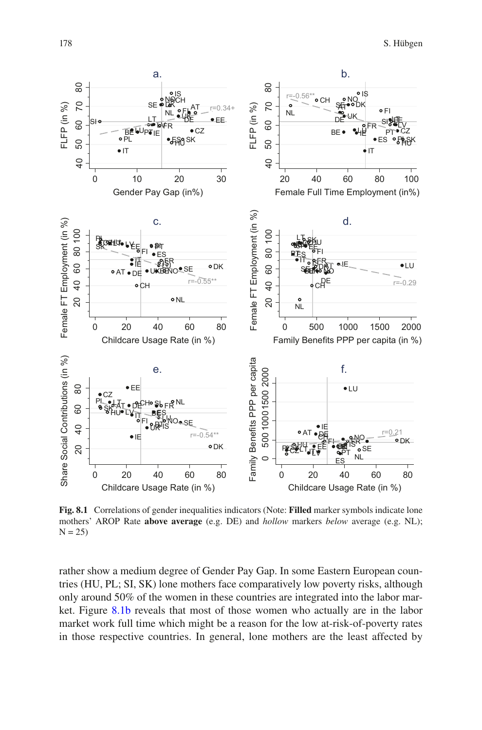<span id="page-11-0"></span>

**Fig. 8.1** Correlations of gender inequalities indicators (Note: **Filled** marker symbols indicate lone mothers' AROP Rate **above average** (e.g. DE) and *hollow* markers *below* average (e.g. NL);  $N = 25$ 

rather show a medium degree of Gender Pay Gap. In some Eastern European countries (HU, PL; SI, SK) lone mothers face comparatively low poverty risks, although only around 50% of the women in these countries are integrated into the labor market. Figure [8.1b](#page-11-0) reveals that most of those women who actually are in the labor market work full time which might be a reason for the low at-risk-of-poverty rates in those respective countries. In general, lone mothers are the least affected by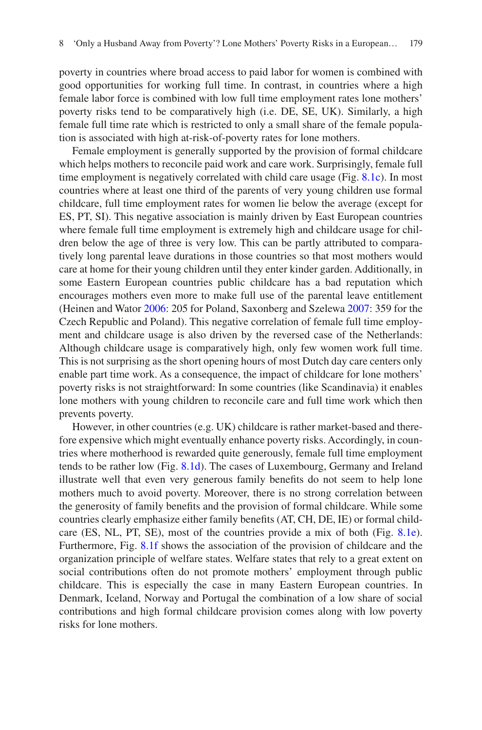poverty in countries where broad access to paid labor for women is combined with good opportunities for working full time. In contrast, in countries where a high female labor force is combined with low full time employment rates lone mothers' poverty risks tend to be comparatively high (i.e. DE, SE, UK). Similarly, a high female full time rate which is restricted to only a small share of the female population is associated with high at-risk-of-poverty rates for lone mothers.

Female employment is generally supported by the provision of formal childcare which helps mothers to reconcile paid work and care work. Surprisingly, female full time employment is negatively correlated with child care usage (Fig. [8.1c](#page-11-0)). In most countries where at least one third of the parents of very young children use formal childcare, full time employment rates for women lie below the average (except for ES, PT, SI). This negative association is mainly driven by East European countries where female full time employment is extremely high and childcare usage for children below the age of three is very low. This can be partly attributed to comparatively long parental leave durations in those countries so that most mothers would care at home for their young children until they enter kinder garden. Additionally, in some Eastern European countries public childcare has a bad reputation which encourages mothers even more to make full use of the parental leave entitlement (Heinen and Wator [2006](#page-21-22): 205 for Poland, Saxonberg and Szelewa [2007](#page-22-9): 359 for the Czech Republic and Poland). This negative correlation of female full time employment and childcare usage is also driven by the reversed case of the Netherlands: Although childcare usage is comparatively high, only few women work full time. This is not surprising as the short opening hours of most Dutch day care centers only enable part time work. As a consequence, the impact of childcare for lone mothers' poverty risks is not straightforward: In some countries (like Scandinavia) it enables lone mothers with young children to reconcile care and full time work which then prevents poverty.

However, in other countries (e.g. UK) childcare is rather market-based and therefore expensive which might eventually enhance poverty risks. Accordingly, in countries where motherhood is rewarded quite generously, female full time employment tends to be rather low (Fig. [8.1d\)](#page-11-0). The cases of Luxembourg, Germany and Ireland illustrate well that even very generous family benefits do not seem to help lone mothers much to avoid poverty. Moreover, there is no strong correlation between the generosity of family benefits and the provision of formal childcare. While some countries clearly emphasize either family benefits (AT, CH, DE, IE) or formal childcare (ES, NL, PT, SE), most of the countries provide a mix of both (Fig. [8.1e\)](#page-11-0). Furthermore, Fig. [8.1f](#page-11-0) shows the association of the provision of childcare and the organization principle of welfare states. Welfare states that rely to a great extent on social contributions often do not promote mothers' employment through public childcare. This is especially the case in many Eastern European countries. In Denmark, Iceland, Norway and Portugal the combination of a low share of social contributions and high formal childcare provision comes along with low poverty risks for lone mothers.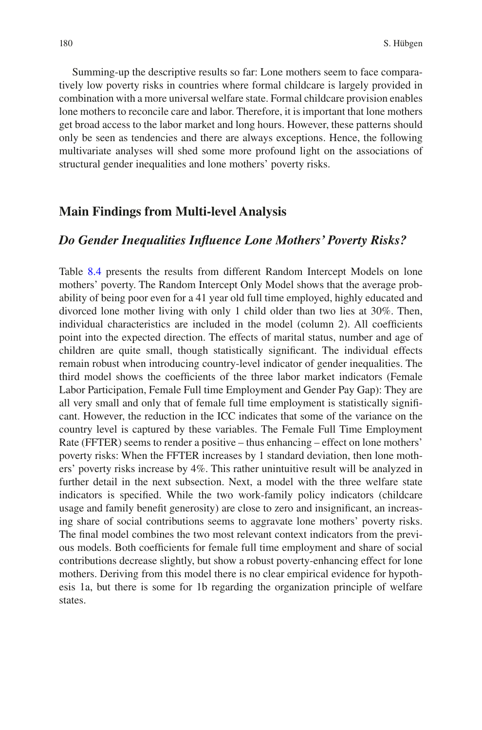Summing-up the descriptive results so far: Lone mothers seem to face comparatively low poverty risks in countries where formal childcare is largely provided in combination with a more universal welfare state. Formal childcare provision enables lone mothers to reconcile care and labor. Therefore, it is important that lone mothers get broad access to the labor market and long hours. However, these patterns should only be seen as tendencies and there are always exceptions. Hence, the following multivariate analyses will shed some more profound light on the associations of structural gender inequalities and lone mothers' poverty risks.

## **Main Findings from Multi-level Analysis**

#### *Do Gender Inequalities Influence Lone Mothers' Poverty Risks?*

Table [8.4](#page-14-0) presents the results from different Random Intercept Models on lone mothers' poverty. The Random Intercept Only Model shows that the average probability of being poor even for a 41 year old full time employed, highly educated and divorced lone mother living with only 1 child older than two lies at 30%. Then, individual characteristics are included in the model (column 2). All coefficients point into the expected direction. The effects of marital status, number and age of children are quite small, though statistically significant. The individual effects remain robust when introducing country-level indicator of gender inequalities. The third model shows the coefficients of the three labor market indicators (Female Labor Participation, Female Full time Employment and Gender Pay Gap): They are all very small and only that of female full time employment is statistically significant. However, the reduction in the ICC indicates that some of the variance on the country level is captured by these variables. The Female Full Time Employment Rate (FFTER) seems to render a positive – thus enhancing – effect on lone mothers' poverty risks: When the FFTER increases by 1 standard deviation, then lone mothers' poverty risks increase by 4%. This rather unintuitive result will be analyzed in further detail in the next subsection. Next, a model with the three welfare state indicators is specified. While the two work-family policy indicators (childcare usage and family benefit generosity) are close to zero and insignificant, an increasing share of social contributions seems to aggravate lone mothers' poverty risks. The final model combines the two most relevant context indicators from the previous models. Both coefficients for female full time employment and share of social contributions decrease slightly, but show a robust poverty-enhancing effect for lone mothers. Deriving from this model there is no clear empirical evidence for hypothesis 1a, but there is some for 1b regarding the organization principle of welfare states.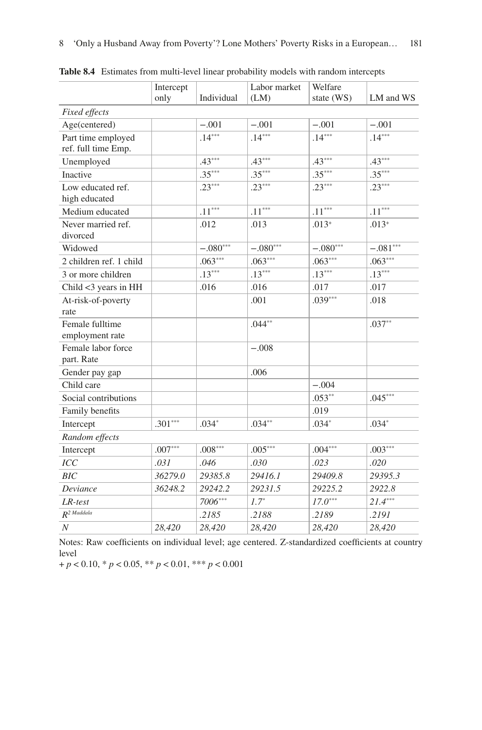|                         | Intercept |            | Labor market         | Welfare    |            |
|-------------------------|-----------|------------|----------------------|------------|------------|
|                         | only      | Individual | (LM)                 | state (WS) | LM and WS  |
| Fixed effects           |           |            |                      |            |            |
| Age(centered)           |           | $-.001$    | $-.001$              | $-.001$    | $-.001$    |
| Part time employed      |           | .14        | $.14***$             | $.14***$   | $.14***$   |
| ref. full time Emp.     |           |            |                      |            |            |
| Unemployed              |           | $.43***$   | $.43***$             | $.43***$   | $.43***$   |
| Inactive                |           | $.35***$   | $.35***$             | $.35***$   | $.35***$   |
| Low educated ref.       |           | $.23***$   | $.23***$             | $.23***$   | $.23***$   |
| high educated           |           |            |                      |            |            |
| Medium educated         |           | $.11***$   | $.11^{\ast\ast\ast}$ | $.11***$   | $.11***$   |
| Never married ref.      |           | .012       | .013                 | $.013+$    | $.013+$    |
| divorced                |           |            |                      |            |            |
| Widowed                 |           | $-.080***$ | $-.080***$           | $-.080***$ | $-.081***$ |
| 2 children ref. 1 child |           | $.063***$  | $.063***$            | $.063***$  | $.063***$  |
| 3 or more children      |           | $.13***$   | $.13***$             | $.13***$   | $.13***$   |
| Child <3 years in HH    |           | .016       | .016                 | .017       | .017       |
| At-risk-of-poverty      |           |            | .001                 | $.039***$  | .018       |
| rate                    |           |            |                      |            |            |
| Female fulltime         |           |            | $.044**$             |            | $.037**$   |
| employment rate         |           |            |                      |            |            |
| Female labor force      |           |            | $-.008$              |            |            |
| part. Rate              |           |            |                      |            |            |
| Gender pay gap          |           |            | .006                 |            |            |
| Child care              |           |            |                      | $-.004$    |            |
| Social contributions    |           |            |                      | $.053**$   | $.045***$  |
| Family benefits         |           |            |                      | .019       |            |
| Intercept               | $.301***$ | $.034*$    | $.034**$             | $.034*$    | $.034*$    |
| Random effects          |           |            |                      |            |            |
| Intercept               | $.007***$ | $.008***$  | $.005***$            | $.004***$  | $.003***$  |
| <b>ICC</b>              | .031      | .046       | .030                 | .023       | .020       |
| <b>BIC</b>              | 36279.0   | 29385.8    | 29416.1              | 29409.8    | 29395.3    |
| Deviance                | 36248.2   | 29242.2    | 29231.5              | 29225.2    | 2922.8     |
| LR-test                 |           | 7006***    | $1.7^*$              | $17.0***$  | $21.4***$  |
| $R^2$ Maddala           |           | .2185      | .2188                | .2189      | .2191      |
| N                       | 28,420    | 28,420     | 28,420               | 28,420     | 28,420     |

<span id="page-14-0"></span>**Table 8.4** Estimates from multi-level linear probability models with random intercepts

Notes: Raw coefficients on individual level; age centered. Z-standardized coefficients at country level

+ *p* < 0.10, \* *p* < 0.05, \*\* *p* < 0.01, \*\*\* *p* < 0.001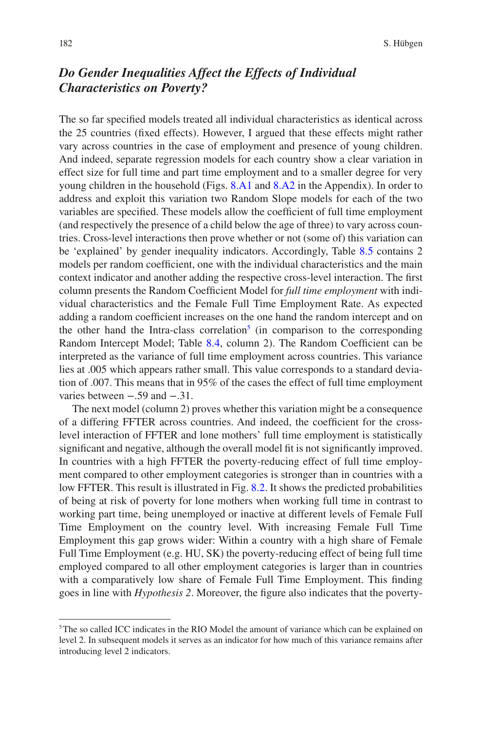# *Do Gender Inequalities Affect the Effects of Individual Characteristics on Poverty?*

The so far specified models treated all individual characteristics as identical across the 25 countries (fixed effects). However, I argued that these effects might rather vary across countries in the case of employment and presence of young children. And indeed, separate regression models for each country show a clear variation in effect size for full time and part time employment and to a smaller degree for very young children in the household (Figs. [8.A1](#page-19-0) and [8.A2](#page-20-8) in the Appendix). In order to address and exploit this variation two Random Slope models for each of the two variables are specified. These models allow the coefficient of full time employment (and respectively the presence of a child below the age of three) to vary across countries. Cross-level interactions then prove whether or not (some of) this variation can be 'explained' by gender inequality indicators. Accordingly, Table [8.5](#page-17-0) contains 2 models per random coefficient, one with the individual characteristics and the main context indicator and another adding the respective cross-level interaction. The first column presents the Random Coefficient Model for *full time employment* with individual characteristics and the Female Full Time Employment Rate. As expected adding a random coefficient increases on the one hand the random intercept and on the other hand the Intra-class correlation<sup>5</sup> (in comparison to the corresponding Random Intercept Model; Table [8.4,](#page-14-0) column 2). The Random Coefficient can be interpreted as the variance of full time employment across countries. This variance lies at .005 which appears rather small. This value corresponds to a standard deviation of .007. This means that in 95% of the cases the effect of full time employment varies between  $-.59$  and  $-.31$ .

The next model (column 2) proves whether this variation might be a consequence of a differing FFTER across countries. And indeed, the coefficient for the crosslevel interaction of FFTER and lone mothers' full time employment is statistically significant and negative, although the overall model fit is not significantly improved. In countries with a high FFTER the poverty-reducing effect of full time employment compared to other employment categories is stronger than in countries with a low FFTER. This result is illustrated in Fig. [8.2.](#page-18-0) It shows the predicted probabilities of being at risk of poverty for lone mothers when working full time in contrast to working part time, being unemployed or inactive at different levels of Female Full Time Employment on the country level. With increasing Female Full Time Employment this gap grows wider: Within a country with a high share of Female Full Time Employment (e.g. HU, SK) the poverty-reducing effect of being full time employed compared to all other employment categories is larger than in countries with a comparatively low share of Female Full Time Employment. This finding goes in line with *Hypothesis 2*. Moreover, the figure also indicates that the poverty-

<span id="page-15-0"></span><sup>&</sup>lt;sup>5</sup>The so called ICC indicates in the RIO Model the amount of variance which can be explained on level 2. In subsequent models it serves as an indicator for how much of this variance remains after introducing level 2 indicators.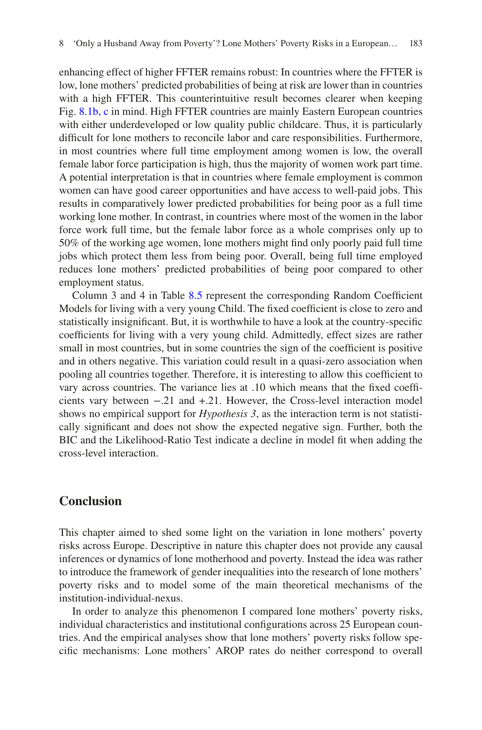enhancing effect of higher FFTER remains robust: In countries where the FFTER is low, lone mothers' predicted probabilities of being at risk are lower than in countries with a high FFTER. This counterintuitive result becomes clearer when keeping Fig. [8.1b, c](#page-11-0) in mind. High FFTER countries are mainly Eastern European countries with either underdeveloped or low quality public childcare. Thus, it is particularly difficult for lone mothers to reconcile labor and care responsibilities. Furthermore, in most countries where full time employment among women is low, the overall female labor force participation is high, thus the majority of women work part time. A potential interpretation is that in countries where female employment is common women can have good career opportunities and have access to well-paid jobs. This results in comparatively lower predicted probabilities for being poor as a full time working lone mother. In contrast, in countries where most of the women in the labor force work full time, but the female labor force as a whole comprises only up to 50% of the working age women, lone mothers might find only poorly paid full time jobs which protect them less from being poor. Overall, being full time employed reduces lone mothers' predicted probabilities of being poor compared to other employment status.

Column 3 and 4 in Table [8.5](#page-17-0) represent the corresponding Random Coefficient Models for living with a very young Child. The fixed coefficient is close to zero and statistically insignificant. But, it is worthwhile to have a look at the country-specific coefficients for living with a very young child. Admittedly, effect sizes are rather small in most countries, but in some countries the sign of the coefficient is positive and in others negative. This variation could result in a quasi-zero association when pooling all countries together. Therefore, it is interesting to allow this coefficient to vary across countries. The variance lies at .10 which means that the fixed coefficients vary between −.21 and +.21. However, the Cross-level interaction model shows no empirical support for *Hypothesis 3*, as the interaction term is not statistically significant and does not show the expected negative sign. Further, both the BIC and the Likelihood-Ratio Test indicate a decline in model fit when adding the cross-level interaction.

## **Conclusion**

This chapter aimed to shed some light on the variation in lone mothers' poverty risks across Europe. Descriptive in nature this chapter does not provide any causal inferences or dynamics of lone motherhood and poverty. Instead the idea was rather to introduce the framework of gender inequalities into the research of lone mothers' poverty risks and to model some of the main theoretical mechanisms of the institution-individual-nexus.

In order to analyze this phenomenon I compared lone mothers' poverty risks, individual characteristics and institutional configurations across 25 European countries. And the empirical analyses show that lone mothers' poverty risks follow specific mechanisms: Lone mothers' AROP rates do neither correspond to overall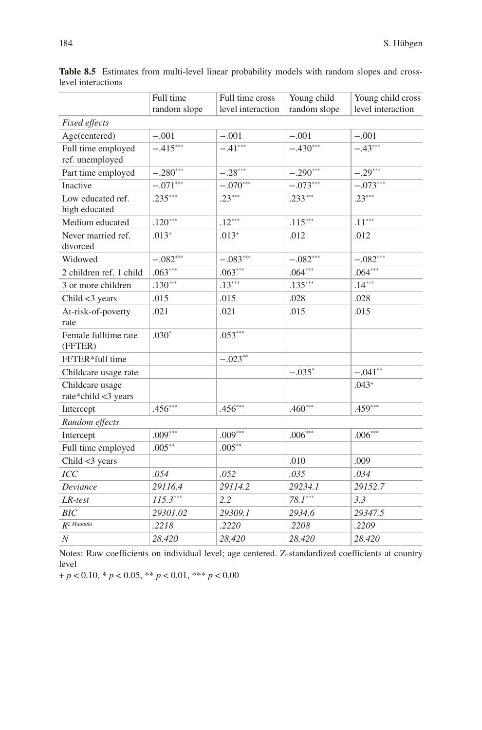|                                        | Full time    | Full time cross   | Young child  | Young child cross |
|----------------------------------------|--------------|-------------------|--------------|-------------------|
|                                        | random slope | level interaction | random slope | level interaction |
| Fixed effects                          |              |                   |              |                   |
| Age(centered)                          | $-.001$      | $-.001$           | $-.001$      | $-.001$           |
| Full time employed<br>ref. unemployed  | $-.415***$   | $-.41***$         | $-.430***$   | $-.43***$         |
| Part time employed                     | $-.280***$   | $-.28***$         | $-.290***$   | $-.29***$         |
| Inactive                               | $-.071***$   | $-.070***$        | $-.073***$   | $-.073***$        |
| Low educated ref.<br>high educated     | $.235***$    | $.23***$          | $.233***$    | $.23***$          |
| Medium educated                        | $.120***$    | $.12***$          | $.115***$    | $.11***$          |
| Never married ref.<br>divorced         | $.013+$      | $.013+$           | .012         | .012              |
| Widowed                                | $-.082***$   | $-.083***$        | $-.082***$   | $-.082***$        |
| 2 children ref. 1 child                | $.063***$    | $.063***$         | $.064***$    | $.064***$         |
| 3 or more children                     | $.130***$    | $.13***$          | $.135***$    | $.14***$          |
| Child <3 years                         | .015         | .015              | .028         | .028              |
| At-risk-of-poverty<br>rate             | .021         | .021              | .015         | .015              |
| Female fulltime rate<br>(FFTER)        | $.030*$      | $.053***$         |              |                   |
| FFTER*full time                        |              | $-.023**$         |              |                   |
| Childcare usage rate                   |              |                   | $-.035*$     | $-.041**$         |
| Childcare usage<br>rate*child <3 years |              |                   |              | $.043+$           |
| Intercept                              | $.456***$    | $.456***$         | $.460***$    | $.459***$         |
| Random effects                         |              |                   |              |                   |
| Intercept                              | $.009***$    | $.009***$         | $.006***$    | $.006***$         |
| Full time employed                     | $.005***$    | $.005***$         |              |                   |
| Child <3 years                         |              |                   | .010         | .009              |
| ICC                                    | .054         | .052              | .035         | .034              |
| Deviance                               | 29116.4      | 29114.2           | 29234.1      | 29152.7           |
| LR-test                                | $115.3***$   | 2.2               | $78.1***$    | 3.3               |
| <b>BIC</b>                             | 29301.02     | 29309.1           | 2934.6       | 29347.5           |
| $R^2$ Maddala                          | .2218        | .2220             | .2208        | .2209             |
| N                                      | 28,420       | 28,420            | 28,420       | 28,420            |

<span id="page-17-0"></span>Table 8.5 Estimates from multi-level linear probability models with random slopes and crosslevel interactions

Notes: Raw coefficients on individual level; age centered. Z-standardized coefficients at country level

+ *p* < 0.10, \* *p* < 0.05, \*\* *p* < 0.01, \*\*\* *p* < 0.00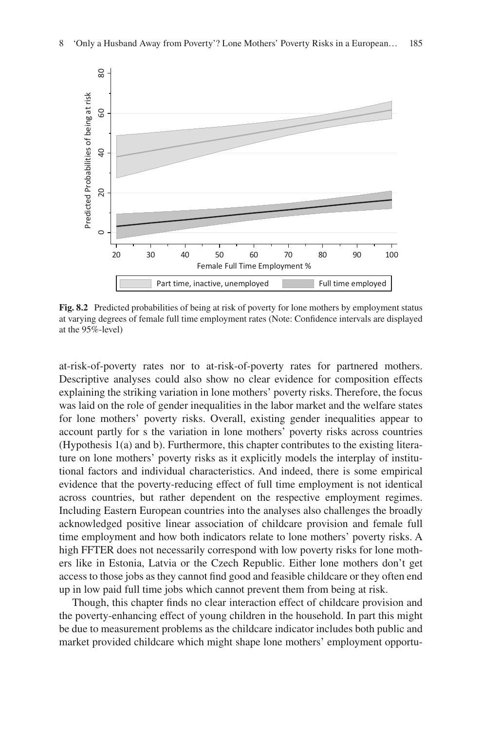<span id="page-18-0"></span>

**Fig. 8.2** Predicted probabilities of being at risk of poverty for lone mothers by employment status at varying degrees of female full time employment rates (Note: Confidence intervals are displayed at the 95%-level)

at-risk-of-poverty rates nor to at-risk-of-poverty rates for partnered mothers. Descriptive analyses could also show no clear evidence for composition effects explaining the striking variation in lone mothers' poverty risks. Therefore, the focus was laid on the role of gender inequalities in the labor market and the welfare states for lone mothers' poverty risks. Overall, existing gender inequalities appear to account partly for s the variation in lone mothers' poverty risks across countries (Hypothesis 1(a) and b). Furthermore, this chapter contributes to the existing literature on lone mothers' poverty risks as it explicitly models the interplay of institutional factors and individual characteristics. And indeed, there is some empirical evidence that the poverty-reducing effect of full time employment is not identical across countries, but rather dependent on the respective employment regimes. Including Eastern European countries into the analyses also challenges the broadly acknowledged positive linear association of childcare provision and female full time employment and how both indicators relate to lone mothers' poverty risks. A high FFTER does not necessarily correspond with low poverty risks for lone mothers like in Estonia, Latvia or the Czech Republic. Either lone mothers don't get access to those jobs as they cannot find good and feasible childcare or they often end up in low paid full time jobs which cannot prevent them from being at risk.

Though, this chapter finds no clear interaction effect of childcare provision and the poverty-enhancing effect of young children in the household. In part this might be due to measurement problems as the childcare indicator includes both public and market provided childcare which might shape lone mothers' employment opportu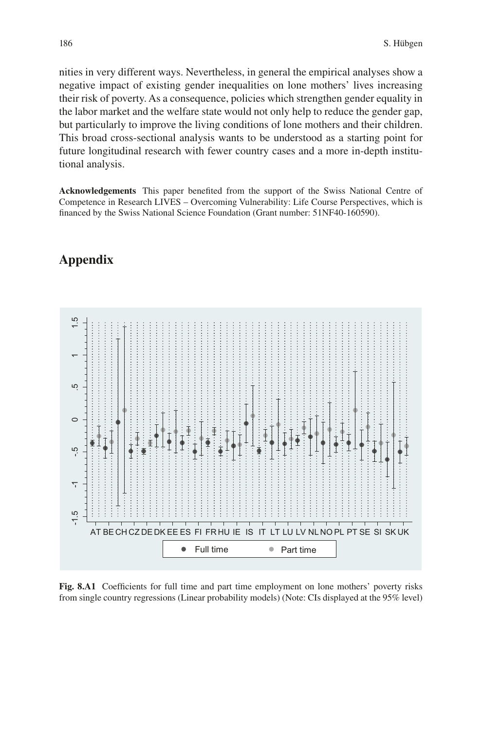nities in very different ways. Nevertheless, in general the empirical analyses show a negative impact of existing gender inequalities on lone mothers' lives increasing their risk of poverty. As a consequence, policies which strengthen gender equality in the labor market and the welfare state would not only help to reduce the gender gap, but particularly to improve the living conditions of lone mothers and their children. This broad cross-sectional analysis wants to be understood as a starting point for future longitudinal research with fewer country cases and a more in-depth institutional analysis.

**Acknowledgements** This paper benefited from the support of the Swiss National Centre of Competence in Research LIVES – Overcoming Vulnerability: Life Course Perspectives, which is financed by the Swiss National Science Foundation (Grant number: 51NF40-160590).

# **Appendix**

<span id="page-19-0"></span>

**Fig. 8.A1** Coefficients for full time and part time employment on lone mothers' poverty risks from single country regressions (Linear probability models) (Note: CIs displayed at the 95% level)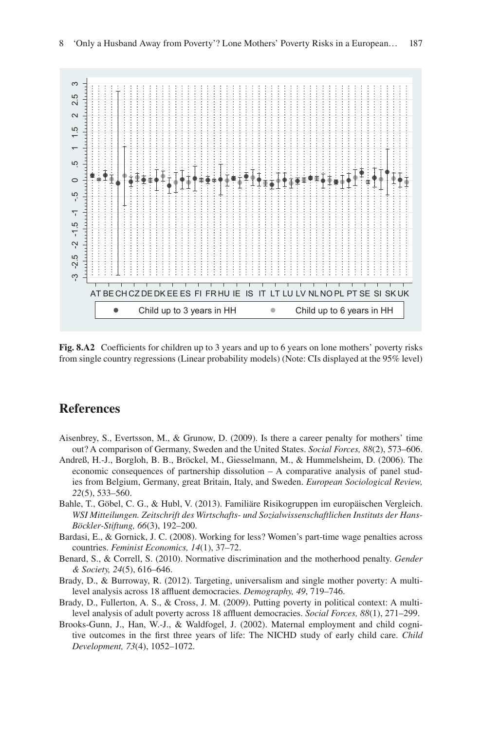<span id="page-20-8"></span>

**Fig. 8.A2** Coefficients for children up to 3 years and up to 6 years on lone mothers' poverty risks from single country regressions (Linear probability models) (Note: CIs displayed at the 95% level)

# **References**

- <span id="page-20-7"></span>Aisenbrey, S., Evertsson, M., & Grunow, D. (2009). Is there a career penalty for mothers' time out? A comparison of Germany, Sweden and the United States. *Social Forces, 88*(2), 573–606.
- <span id="page-20-4"></span>Andreß, H.-J., Borgloh, B. B., Bröckel, M., Giesselmann, M., & Hummelsheim, D. (2006). The economic consequences of partnership dissolution – A comparative analysis of panel studies from Belgium, Germany, great Britain, Italy, and Sweden. *European Sociological Review, 22*(5), 533–560.
- <span id="page-20-3"></span>Bahle, T., Göbel, C. G., & Hubl, V. (2013). Familiäre Risikogruppen im europäischen Vergleich. *WSI Mitteilungen. Zeitschrift des Wirtschafts- und Sozialwissenschaftlichen Instituts der Hans-Böckler-Stiftung, 66*(3), 192–200.
- <span id="page-20-6"></span>Bardasi, E., & Gornick, J. C. (2008). Working for less? Women's part-time wage penalties across countries. *Feminist Economics, 14*(1), 37–72.
- <span id="page-20-5"></span>Benard, S., & Correll, S. (2010). Normative discrimination and the motherhood penalty. *Gender & Society, 24*(5), 616–646.
- <span id="page-20-0"></span>Brady, D., & Burroway, R. (2012). Targeting, universalism and single mother poverty: A multilevel analysis across 18 affluent democracies. *Demography, 49*, 719–746.
- <span id="page-20-1"></span>Brady, D., Fullerton, A. S., & Cross, J. M. (2009). Putting poverty in political context: A multilevel analysis of adult poverty across 18 affluent democracies. *Social Forces, 88*(1), 271–299.
- <span id="page-20-2"></span>Brooks-Gunn, J., Han, W.-J., & Waldfogel, J. (2002). Maternal employment and child cognitive outcomes in the first three years of life: The NICHD study of early child care. *Child*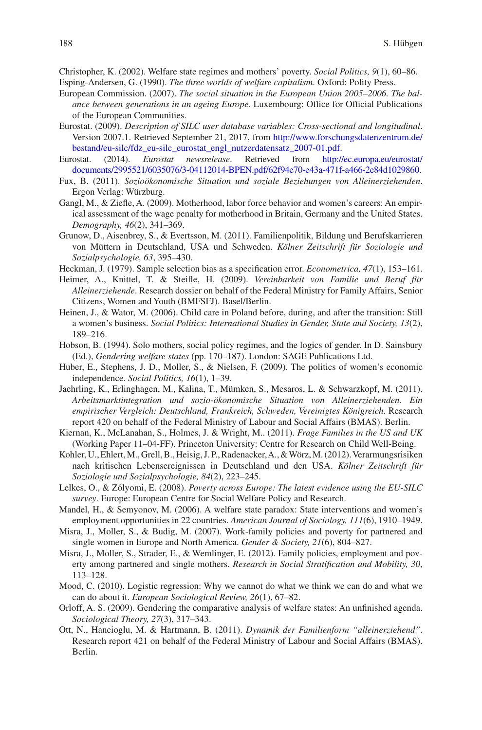<span id="page-21-3"></span>Christopher, K. (2002). Welfare state regimes and mothers' poverty. *Social Politics, 9*(1), 60–86.

- <span id="page-21-17"></span>Esping-Andersen, G. (1990). *The three worlds of welfare capitalism*. Oxford: Polity Press.
- <span id="page-21-1"></span>European Commission. (2007). *The social situation in the European Union 2005–2006. The balance between generations in an ageing Europe*. Luxembourg: Office for Official Publications of the European Communities.
- <span id="page-21-19"></span>Eurostat. (2009). *Description of SILC user database variables: Cross-sectional and longitudinal*. Version 2007.1. Retrieved September 21, 2017, from [http://www.forschungsdatenzentrum.de/](http://www.forschungsdatenzentrum.de/bestand/eu-silc/fdz_eu-silc_eurostat_engl_nutzerdatensatz_2007-01.pdf) [bestand/eu-silc/fdz\\_eu-silc\\_eurostat\\_engl\\_nutzerdatensatz\\_2007-01.pdf](http://www.forschungsdatenzentrum.de/bestand/eu-silc/fdz_eu-silc_eurostat_engl_nutzerdatensatz_2007-01.pdf).<br>ostat. (2014). *Eurostat newsrelease*. Retrieved from http://
- <span id="page-21-0"></span>Eurostat. (2014). *Eurostat newsrelease*. Retrieved from [http://ec.europa.eu/eurostat/](http://ec.europa.eu/eurostat/documents/2995521/6035076/3-04112014-BPEN.pdf/62f94e70-e43a-471f-a466-2e84d1029860) [documents/2995521/6035076/3-04112014-BPEN.pdf/62f94e70-e43a-471f-a466-2e84d1029860](http://ec.europa.eu/eurostat/documents/2995521/6035076/3-04112014-BPEN.pdf/62f94e70-e43a-471f-a466-2e84d1029860).
- <span id="page-21-10"></span>Fux, B. (2011). *Sozioökonomische Situation und soziale Beziehungen von Alleinerziehenden*. Ergon Verlag: Würzburg.
- <span id="page-21-14"></span>Gangl, M., & Ziefle, A. (2009). Motherhood, labor force behavior and women's careers: An empirical assessment of the wage penalty for motherhood in Britain, Germany and the United States. *Demography, 46*(2), 341–369.
- <span id="page-21-15"></span>Grunow, D., Aisenbrey, S., & Evertsson, M. (2011). Familienpolitik, Bildung und Berufskarrieren von Müttern in Deutschland, USA und Schweden. *Kölner Zeitschrift für Soziologie und Sozialpsychologie, 63*, 395–430.
- <span id="page-21-21"></span>Heckman, J. (1979). Sample selection bias as a specification error. *Econometrica, 47*(1), 153–161.
- <span id="page-21-11"></span>Heimer, A., Knittel, T. & Steifle, H. (2009). *Vereinbarkeit von Familie und Beruf für Alleinerziehende*. Research dossier on behalf of the Federal Ministry for Family Affairs, Senior Citizens, Women and Youth (BMFSFJ). Basel/Berlin.
- <span id="page-21-22"></span>Heinen, J., & Wator, M. (2006). Child care in Poland before, during, and after the transition: Still a women's business. *Social Politics: International Studies in Gender, State and Society, 13*(2), 189–216.
- <span id="page-21-6"></span>Hobson, B. (1994). Solo mothers, social policy regimes, and the logics of gender. In D. Sainsbury (Ed.), *Gendering welfare states* (pp. 170–187). London: SAGE Publications Ltd.
- <span id="page-21-7"></span>Huber, E., Stephens, J. D., Moller, S., & Nielsen, F. (2009). The politics of women's economic independence. *Social Politics, 16*(1), 1–39.
- <span id="page-21-2"></span>Jaehrling, K., Erlinghagen, M., Kalina, T., Mümken, S., Mesaros, L. & Schwarzkopf, M. (2011). *Arbeitsmarktintegration und sozio-ökonomische Situation von Alleinerziehenden. Ein empirischer Vergleich: Deutschland, Frankreich, Schweden, Vereinigtes Königreich*. Research report 420 on behalf of the Federal Ministry of Labour and Social Affairs (BMAS). Berlin.
- <span id="page-21-9"></span>Kiernan, K., McLanahan, S., Holmes, J. & Wright, M.. (2011). *Frage Families in the US and UK* (Working Paper 11–04-FF). Princeton University: Centre for Research on Child Well-Being.
- <span id="page-21-13"></span>Kohler, U., Ehlert, M., Grell, B., Heisig, J. P., Radenacker, A., & Wörz, M. (2012). Verarmungsrisiken nach kritischen Lebensereignissen in Deutschland und den USA. *Kölner Zeitschrift für Soziologie und Sozialpsychologie, 84*(2), 223–245.
- <span id="page-21-4"></span>Lelkes, O., & Zólyomi, E. (2008). *Poverty across Europe: The latest evidence using the EU-SILC survey*. Europe: European Centre for Social Welfare Policy and Research.
- <span id="page-21-16"></span>Mandel, H., & Semyonov, M. (2006). A welfare state paradox: State interventions and women's employment opportunities in 22 countries. *American Journal of Sociology, 111*(6), 1910–1949.
- <span id="page-21-5"></span>Misra, J., Moller, S., & Budig, M. (2007). Work-family policies and poverty for partnered and single women in Europe and North America. *Gender & Society, 21*(6), 804–827.
- <span id="page-21-8"></span>Misra, J., Moller, S., Strader, E., & Wemlinger, E. (2012). Family policies, employment and poverty among partnered and single mothers. *Research in Social Stratification and Mobility, 30*, 113–128.
- <span id="page-21-20"></span>Mood, C. (2010). Logistic regression: Why we cannot do what we think we can do and what we can do about it. *European Sociological Review, 26*(1), 67–82.
- <span id="page-21-18"></span>Orloff, A. S. (2009). Gendering the comparative analysis of welfare states: An unfinished agenda. *Sociological Theory, 27*(3), 317–343.
- <span id="page-21-12"></span>Ott, N., Hancioglu, M. & Hartmann, B. (2011). *Dynamik der Familienform "alleinerziehend"*. Research report 421 on behalf of the Federal Ministry of Labour and Social Affairs (BMAS). Berlin.